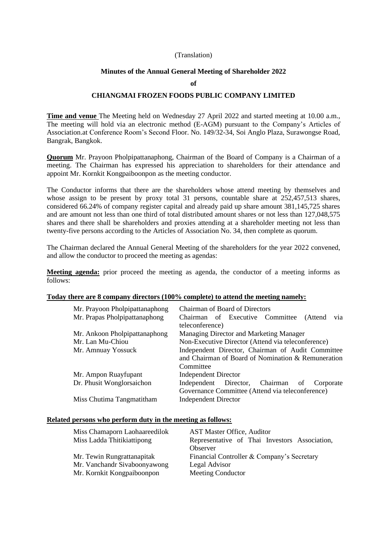#### (Translation)

#### **Minutes of the Annual General Meeting of Shareholder 2022**

#### **of**

#### **CHIANGMAI FROZEN FOODS PUBLIC COMPANY LIMITED**

**Time and venue** The Meeting held on Wednesday 27 April 2022 and started meeting at 10.00 a.m., The meeting will hold via an electronic method (E-AGM) pursuant to the Company's Articles of Association.at Conference Room's Second Floor. No. 149/32-34, Soi Anglo Plaza, Surawongse Road, Bangrak, Bangkok.

**Quorum** Mr. Prayoon Pholpipattanaphong, Chairman of the Board of Company is a Chairman of a meeting. The Chairman has expressed his appreciation to shareholders for their attendance and appoint Mr. Kornkit Kongpaiboonpon as the meeting conductor.

The Conductor informs that there are the shareholders whose attend meeting by themselves and whose assign to be present by proxy total 31 persons, countable share at 252,457,513 shares, considered 66.24% of company register capital and already paid up share amount 381,145,725 shares and are amount not less than one third of total distributed amount shares or not less than 127,048,575 shares and there shall be shareholders and proxies attending at a shareholder meeting not less than twenty-five persons according to the Articles of Association No. 34, then complete as quorum.

The Chairman declared the Annual General Meeting of the shareholders for the year 2022 convened, and allow the conductor to proceed the meeting as agendas:

**Meeting agenda:** prior proceed the meeting as agenda, the conductor of a meeting informs as follows:

### **Today there are 8 company directors (100% complete) to attend the meeting namely:**

| Mr. Prayoon Pholpipattanaphong | <b>Chairman of Board of Directors</b>              |  |  |  |  |
|--------------------------------|----------------------------------------------------|--|--|--|--|
| Mr. Prapas Pholpipattanaphong  | Chairman of Executive Committee<br>via<br>(Attend  |  |  |  |  |
|                                | teleconference)                                    |  |  |  |  |
| Mr. Ankoon Pholpipattanaphong  | Managing Director and Marketing Manager            |  |  |  |  |
| Mr. Lan Mu-Chiou               | Non-Executive Director (Attend via teleconference) |  |  |  |  |
| Mr. Amnuay Yossuck             | Independent Director, Chairman of Audit Committee  |  |  |  |  |
|                                | and Chairman of Board of Nomination & Remuneration |  |  |  |  |
|                                | Committee                                          |  |  |  |  |
| Mr. Ampon Ruayfupant           | <b>Independent Director</b>                        |  |  |  |  |
| Dr. Phusit Wonglorsaichon      | Independent Director, Chairman<br>of<br>Corporate  |  |  |  |  |
|                                | Governance Committee (Attend via teleconference)   |  |  |  |  |
| Miss Chutima Tangmatitham      | <b>Independent Director</b>                        |  |  |  |  |

## **Related persons who perform duty in the meeting as follows:**

| Miss Chamaporn Laohaareedilok<br>Miss Ladda Thitikiattipong | <b>AST Master Office, Auditor</b><br>Representative of Thai Investors Association,<br>Observer |
|-------------------------------------------------------------|------------------------------------------------------------------------------------------------|
| Mr. Tewin Rungrattanapitak                                  | Financial Controller & Company's Secretary                                                     |
| Mr. Vanchandr Sivaboonyawong                                | Legal Advisor                                                                                  |
| Mr. Kornkit Kongpaiboonpon                                  | <b>Meeting Conductor</b>                                                                       |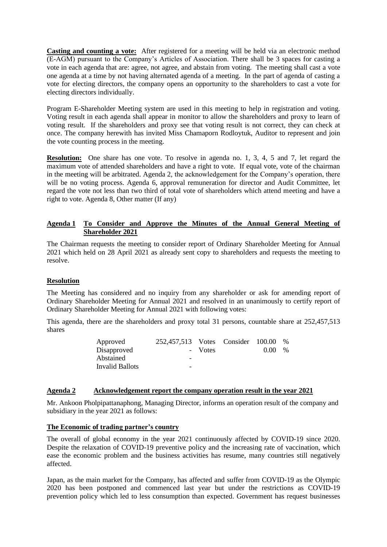**Casting and counting a vote:** After registered for a meeting will be held via an electronic method (E-AGM) pursuant to the Company's Articles of Association. There shall be 3 spaces for casting a vote in each agenda that are: agree, not agree, and abstain from voting. The meeting shall cast a vote one agenda at a time by not having alternated agenda of a meeting. In the part of agenda of casting a vote for electing directors, the company opens an opportunity to the shareholders to cast a vote for electing directors individually.

Program E-Shareholder Meeting system are used in this meeting to help in registration and voting. Voting result in each agenda shall appear in monitor to allow the shareholders and proxy to learn of voting result. If the shareholders and proxy see that voting result is not correct, they can check at once. The company herewith has invited Miss Chamaporn Rodloytuk, Auditor to represent and join the vote counting process in the meeting.

**Resolution:** One share has one vote. To resolve in agenda no. 1, 3, 4, 5 and 7, let regard the maximum vote of attended shareholders and have a right to vote. If equal vote, vote of the chairman in the meeting will be arbitrated. Agenda 2, the acknowledgement for the Company's operation, there will be no voting process. Agenda 6, approval remuneration for director and Audit Committee, let regard the vote not less than two third of total vote of shareholders which attend meeting and have a right to vote. Agenda 8, Other matter (If any)

## **Agenda 1 To Consider and Approve the Minutes of the Annual General Meeting of Shareholder 2021**

The Chairman requests the meeting to consider report of Ordinary Shareholder Meeting for Annual 2021 which held on 28 April 2021 as already sent copy to shareholders and requests the meeting to resolve.

# **Resolution**

The Meeting has considered and no inquiry from any shareholder or ask for amending report of Ordinary Shareholder Meeting for Annual 2021 and resolved in an unanimously to certify report of Ordinary Shareholder Meeting for Annual 2021 with following votes:

This agenda, there are the shareholders and proxy total 31 persons, countable share at 252,457,513 shares

| Approved        | 252,457,513 Votes Consider 100.00 |         |      | $\%$ |
|-----------------|-----------------------------------|---------|------|------|
| Disapproved     |                                   | - Votes | 0.00 | $\%$ |
| Abstained       | -                                 |         |      |      |
| Invalid Ballots | -                                 |         |      |      |

### **Agenda 2 Acknowledgement report the company operation result in the year 2021**

Mr. Ankoon Pholpipattanaphong, Managing Director, informs an operation result of the company and subsidiary in the year 2021 as follows:

### **The Economic of trading partner's country**

The overall of global economy in the year 2021 continuously affected by COVID-19 since 2020. Despite the relaxation of COVID-19 preventive policy and the increasing rate of vaccination, which ease the economic problem and the business activities has resume, many countries still negatively affected.

Japan, as the main market for the Company, has affected and suffer from COVID-19 as the Olympic 2020 has been postponed and commenced last year but under the restrictions as COVID-19 prevention policy which led to less consumption than expected. Government has request businesses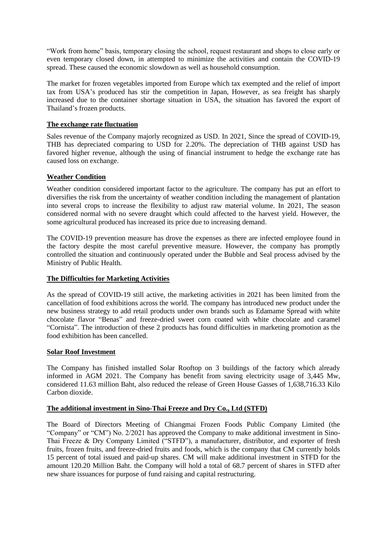"Work from home" basis, temporary closing the school, request restaurant and shops to close early or even temporary closed down, in attempted to minimize the activities and contain the COVID-19 spread. These caused the economic slowdown as well as household consumption.

The market for frozen vegetables imported from Europe which tax exempted and the relief of import tax from USA's produced has stir the competition in Japan, However, as sea freight has sharply increased due to the container shortage situation in USA, the situation has favored the export of Thailand's frozen products.

## **The exchange rate fluctuation**

Sales revenue of the Company majorly recognized as USD. In 2021, Since the spread of COVID-19, THB has depreciated comparing to USD for 2.20%. The depreciation of THB against USD has favored higher revenue, although the using of financial instrument to hedge the exchange rate has caused loss on exchange.

## **Weather Condition**

Weather condition considered important factor to the agriculture. The company has put an effort to diversifies the risk from the uncertainty of weather condition including the management of plantation into several crops to increase the flexibility to adjust raw material volume. In 2021, The season considered normal with no severe draught which could affected to the harvest yield. However, the some agricultural produced has increased its price due to increasing demand.

The COVID-19 prevention measure has drove the expenses as there are infected employee found in the factory despite the most careful preventive measure. However, the company has promptly controlled the situation and continuously operated under the Bubble and Seal process advised by the Ministry of Public Health.

### **The Difficulties for Marketing Activities**

As the spread of COVID-19 still active, the marketing activities in 2021 has been limited from the cancellation of food exhibitions across the world. The company has introduced new product under the new business strategy to add retail products under own brands such as Edamame Spread with white chocolate flavor "Benas" and freeze-dried sweet corn coated with white chocolate and caramel "Cornista". The introduction of these 2 products has found difficulties in marketing promotion as the food exhibition has been cancelled.

### **Solar Roof Investment**

The Company has finished installed Solar Rooftop on 3 buildings of the factory which already informed in AGM 2021. The Company has benefit from saving electricity usage of 3,445 Mw, considered 11.63 million Baht, also reduced the release of Green House Gasses of 1,638,716.33 Kilo Carbon dioxide.

### **The additional investment in Sino-Thai Freeze and Dry Co., Ltd (STFD)**

The Board of Directors Meeting of Chiangmai Frozen Foods Public Company Limited (the "Company" or "CM") No. 2/2021 has approved the Company to make additional investment in Sino-Thai Freeze & Dry Company Limited ("STFD"), a manufacturer, distributor, and exporter of fresh fruits, frozen fruits, and freeze-dried fruits and foods, which is the company that CM currently holds 15 percent of total issued and paid-up shares. CM will make additional investment in STFD for the amount 120.20 Million Baht. the Company will hold a total of 68.7 percent of shares in STFD after new share issuances for purpose of fund raising and capital restructuring.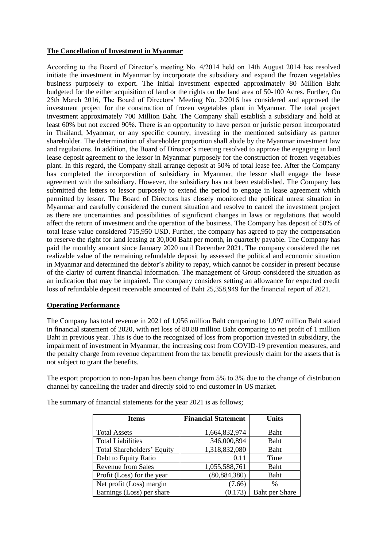### **The Cancellation of Investment in Myanmar**

According to the Board of Director's meeting No. 4/2014 held on 14th August 2014 has resolved initiate the investment in Myanmar by incorporate the subsidiary and expand the frozen vegetables business purposely to export. The initial investment expected approximately 80 Million Baht budgeted for the either acquisition of land or the rights on the land area of 50-100 Acres. Further, On 25th March 2016, The Board of Directors' Meeting No. 2/2016 has considered and approved the investment project for the construction of frozen vegetables plant in Myanmar. The total project investment approximately 700 Million Baht. The Company shall establish a subsidiary and hold at least 60% but not exceed 90%. There is an opportunity to have person or juristic person incorporated in Thailand, Myanmar, or any specific country, investing in the mentioned subsidiary as partner shareholder. The determination of shareholder proportion shall abide by the Myanmar investment law and regulations. In addition, the Board of Director's meeting resolved to approve the engaging in land lease deposit agreement to the lessor in Myanmar purposely for the construction of frozen vegetables plant. In this regard, the Company shall arrange deposit at 50% of total lease fee. After the Company has completed the incorporation of subsidiary in Myanmar, the lessor shall engage the lease agreement with the subsidiary. However, the subsidiary has not been established. The Company has submitted the letters to lessor purposely to extend the period to engage in lease agreement which permitted by lessor. The Board of Directors has closely monitored the political unrest situation in Myanmar and carefully considered the current situation and resolve to cancel the investment project as there are uncertainties and possibilities of significant changes in laws or regulations that would affect the return of investment and the operation of the business. The Company has deposit of 50% of total lease value considered 715,950 USD. Further, the company has agreed to pay the compensation to reserve the right for land leasing at 30,000 Baht per month, in quarterly payable. The Company has paid the monthly amount since January 2020 until December 2021. The company considered the net realizable value of the remaining refundable deposit by assessed the political and economic situation in Myanmar and determined the debtor's ability to repay, which cannot be consider in present because of the clarity of current financial information. The management of Group considered the situation as an indication that may be impaired. The company considers setting an allowance for expected credit loss of refundable deposit receivable amounted of Baht 25,358,949 for the financial report of 2021.

# **Operating Performance**

The Company has total revenue in 2021 of 1,056 million Baht comparing to 1,097 million Baht stated in financial statement of 2020, with net loss of 80.88 million Baht comparing to net profit of 1 million Baht in previous year. This is due to the recognized of loss from proportion invested in subsidiary, the impairment of investment in Myanmar, the increasing cost from COVID-19 prevention measures, and the penalty charge from revenue department from the tax benefit previously claim for the assets that is not subject to grant the benefits.

The export proportion to non-Japan has been change from 5% to 3% due to the change of distribution channel by cancelling the trader and directly sold to end customer in US market.

| <b>Items</b>               | <b>Financial Statement</b> | Units                 |
|----------------------------|----------------------------|-----------------------|
| <b>Total Assets</b>        | 1,664,832,974              | Baht                  |
| <b>Total Liabilities</b>   | 346,000,894                | Baht                  |
| Total Shareholders' Equity | 1,318,832,080              | Baht                  |
| Debt to Equity Ratio       | 0.11                       | Time                  |
| <b>Revenue from Sales</b>  | 1,055,588,761              | Baht                  |
| Profit (Loss) for the year | (80, 884, 380)             | Baht                  |
| Net profit (Loss) margin   | (7.66)                     | $\%$                  |
| Earnings (Loss) per share  | (0.173)                    | <b>Baht per Share</b> |

The summary of financial statements for the year 2021 is as follows;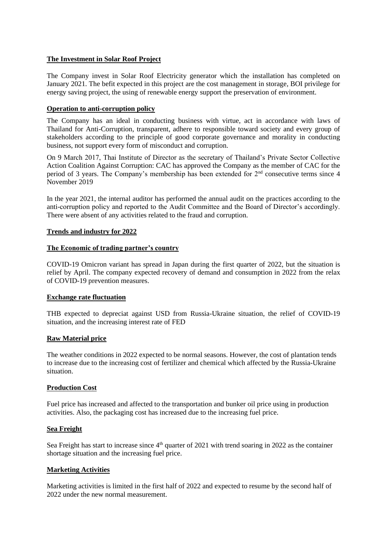## **The Investment in Solar Roof Project**

The Company invest in Solar Roof Electricity generator which the installation has completed on January 2021. The befit expected in this project are the cost management in storage, BOI privilege for energy saving project, the using of renewable energy support the preservation of environment.

### **Operation to anti-corruption policy**

The Company has an ideal in conducting business with virtue, act in accordance with laws of Thailand for Anti-Corruption, transparent, adhere to responsible toward society and every group of stakeholders according to the principle of good corporate governance and morality in conducting business, not support every form of misconduct and corruption.

On 9 March 2017, Thai Institute of Director as the secretary of Thailand's Private Sector Collective Action Coalition Against Corruption: CAC has approved the Company as the member of CAC for the period of 3 years. The Company's membership has been extended for 2nd consecutive terms since 4 November 2019

In the year 2021, the internal auditor has performed the annual audit on the practices according to the anti-corruption policy and reported to the Audit Committee and the Board of Director's accordingly. There were absent of any activities related to the fraud and corruption.

### **Trends and industry for 2022**

### **The Economic of trading partner's country**

COVID-19 Omicron variant has spread in Japan during the first quarter of 2022, but the situation is relief by April. The company expected recovery of demand and consumption in 2022 from the relax of COVID-19 prevention measures.

### **Exchange rate fluctuation**

THB expected to depreciat against USD from Russia-Ukraine situation, the relief of COVID-19 situation, and the increasing interest rate of FED

### **Raw Material price**

The weather conditions in 2022 expected to be normal seasons. However, the cost of plantation tends to increase due to the increasing cost of fertilizer and chemical which affected by the Russia-Ukraine situation.

### **Production Cost**

Fuel price has increased and affected to the transportation and bunker oil price using in production activities. Also, the packaging cost has increased due to the increasing fuel price.

### **Sea Freight**

Sea Freight has start to increase since 4<sup>th</sup> quarter of 2021 with trend soaring in 2022 as the container shortage situation and the increasing fuel price.

### **Marketing Activities**

Marketing activities is limited in the first half of 2022 and expected to resume by the second half of 2022 under the new normal measurement.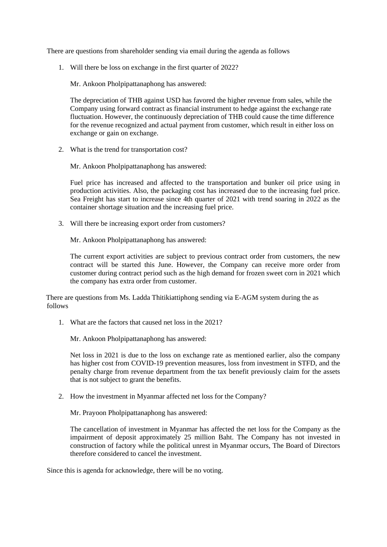There are questions from shareholder sending via email during the agenda as follows

1. Will there be loss on exchange in the first quarter of 2022?

Mr. Ankoon Pholpipattanaphong has answered:

The depreciation of THB against USD has favored the higher revenue from sales, while the Company using forward contract as financial instrument to hedge against the exchange rate fluctuation. However, the continuously depreciation of THB could cause the time difference for the revenue recognized and actual payment from customer, which result in either loss on exchange or gain on exchange.

2. What is the trend for transportation cost?

Mr. Ankoon Pholpipattanaphong has answered:

Fuel price has increased and affected to the transportation and bunker oil price using in production activities. Also, the packaging cost has increased due to the increasing fuel price. Sea Freight has start to increase since 4th quarter of 2021 with trend soaring in 2022 as the container shortage situation and the increasing fuel price.

3. Will there be increasing export order from customers?

Mr. Ankoon Pholpipattanaphong has answered:

The current export activities are subject to previous contract order from customers, the new contract will be started this June. However, the Company can receive more order from customer during contract period such as the high demand for frozen sweet corn in 2021 which the company has extra order from customer.

There are questions from Ms. Ladda Thitikiattiphong sending via E-AGM system during the as follows

1. What are the factors that caused net loss in the 2021?

Mr. Ankoon Pholpipattanaphong has answered:

Net loss in 2021 is due to the loss on exchange rate as mentioned earlier, also the company has higher cost from COVID-19 prevention measures, loss from investment in STFD, and the penalty charge from revenue department from the tax benefit previously claim for the assets that is not subject to grant the benefits.

2. How the investment in Myanmar affected net loss for the Company?

Mr. Prayoon Pholpipattanaphong has answered:

The cancellation of investment in Myanmar has affected the net loss for the Company as the impairment of deposit approximately 25 million Baht. The Company has not invested in construction of factory while the political unrest in Myanmar occurs, The Board of Directors therefore considered to cancel the investment.

Since this is agenda for acknowledge, there will be no voting.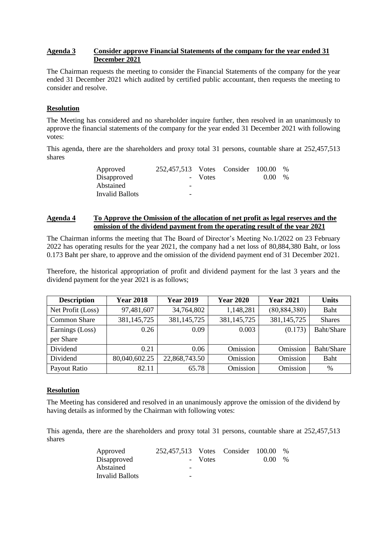## **Agenda 3 Consider approve Financial Statements of the company for the year ended 31 December 2021**

The Chairman requests the meeting to consider the Financial Statements of the company for the year ended 31 December 2021 which audited by certified public accountant, then requests the meeting to consider and resolve.

## **Resolution**

The Meeting has considered and no shareholder inquire further, then resolved in an unanimously to approve the financial statements of the company for the year ended 31 December 2021 with following votes:

This agenda, there are the shareholders and proxy total 31 persons, countable share at 252,457,513 shares

| Approved        | 252,457,513 Votes Consider 100.00 |         |      | $\%$ |
|-----------------|-----------------------------------|---------|------|------|
| Disapproved     |                                   | - Votes | 0.00 | $\%$ |
| Abstained       | -                                 |         |      |      |
| Invalid Ballots | -                                 |         |      |      |

## **Agenda 4 To Approve the Omission of the allocation of net profit as legal reserves and the omission of the dividend payment from the operating result of the year 2021**

The Chairman informs the meeting that The Board of Director's Meeting No.1/2022 on 23 February 2022 has operating results for the year 2021, the company had a net loss of 80,884,380 Baht, or loss 0.173 Baht per share, to approve and the omission of the dividend payment end of 31 December 2021.

Therefore, the historical appropriation of profit and dividend payment for the last 3 years and the dividend payment for the year 2021 is as follows;

| <b>Description</b>  | <b>Year 2018</b> | <b>Year 2019</b> | <b>Year 2020</b> | <b>Year 2021</b> | <b>Units</b>  |
|---------------------|------------------|------------------|------------------|------------------|---------------|
| Net Profit (Loss)   | 97,481,607       | 34,764,802       | 1,148,281        | (80, 884, 380)   | Baht          |
| <b>Common Share</b> | 381, 145, 725    | 381, 145, 725    | 381,145,725      | 381, 145, 725    | <b>Shares</b> |
| Earnings (Loss)     | 0.26             | 0.09             | 0.003            | (0.173)          | Baht/Share    |
| per Share           |                  |                  |                  |                  |               |
| Dividend            | 0.21             | 0.06             | Omission         | Omission         | Baht/Share    |
| Dividend            | 80,040,602.25    | 22,868,743.50    | Omission         | Omission         | Baht          |
| Payout Ratio        | 82.11            | 65.78            | Omission         | Omission         | $\%$          |

# **Resolution**

The Meeting has considered and resolved in an unanimously approve the omission of the dividend by having details as informed by the Chairman with following votes:

This agenda, there are the shareholders and proxy total 31 persons, countable share at 252,457,513 shares

| Approved        | 252,457,513 Votes Consider 100.00 |         |      | $\frac{0}{0}$ |
|-----------------|-----------------------------------|---------|------|---------------|
| Disapproved     |                                   | - Votes | 0.00 | $\frac{0}{0}$ |
| Abstained       | $\overline{\phantom{0}}$          |         |      |               |
| Invalid Ballots | $\overline{\phantom{a}}$          |         |      |               |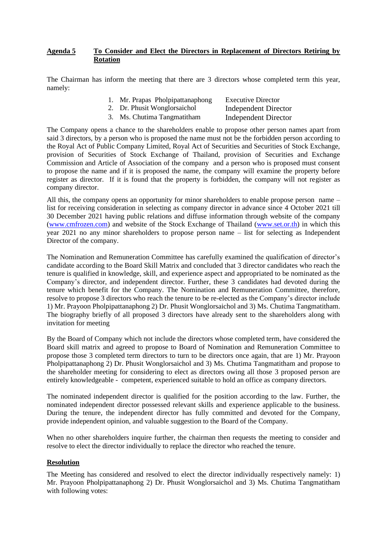## **Agenda 5 To Consider and Elect the Directors in Replacement of Directors Retiring by Rotation**

The Chairman has inform the meeting that there are 3 directors whose completed term this year, namely:

| 1. Mr. Prapas Pholpipattanaphong | <b>Executive Director</b>   |
|----------------------------------|-----------------------------|
| 2. Dr. Phusit Wonglorsaichol     | <b>Independent Director</b> |
| 3. Ms. Chutima Tangmatitham      | <b>Independent Director</b> |

The Company opens a chance to the shareholders enable to propose other person names apart from said 3 directors, by a person who is proposed the name must not be the forbidden person according to the Royal Act of Public Company Limited, Royal Act of Securities and Securities of Stock Exchange, provision of Securities of Stock Exchange of Thailand, provision of Securities and Exchange Commission and Article of Association of the company and a person who is proposed must consent to propose the name and if it is proposed the name, the company will examine the property before register as director. If it is found that the property is forbidden, the company will not register as company director.

All this, the company opens an opportunity for minor shareholders to enable propose person name – list for receiving consideration in selecting as company director in advance since 4 October 2021 till 30 December 2021 having public relations and diffuse information through website of the company [\(www.cmfrozen.com\)](http://www.cmfrozen.com/) and website of the Stock Exchange of Thailand [\(www.set.or.th\)](http://www.set.or.th/) in which this year 2021 no any minor shareholders to propose person name – list for selecting as Independent Director of the company.

The Nomination and Remuneration Committee has carefully examined the qualification of director's candidate according to the Board Skill Matrix and concluded that 3 director candidates who reach the tenure is qualified in knowledge, skill, and experience aspect and appropriated to be nominated as the Company's director, and independent director. Further, these 3 candidates had devoted during the tenure which benefit for the Company. The Nomination and Remuneration Committee, therefore, resolve to propose 3 directors who reach the tenure to be re-elected as the Company's director include 1) Mr. Prayoon Pholpipattanaphong 2) Dr. Phusit Wonglorsaichol and 3) Ms. Chutima Tangmatitham. The biography briefly of all proposed 3 directors have already sent to the shareholders along with invitation for meeting

By the Board of Company which not include the directors whose completed term, have considered the Board skill matrix and agreed to propose to Board of Nomination and Remuneration Committee to propose those 3 completed term directors to turn to be directors once again, that are 1) Mr. Prayoon Pholpipattanaphong 2) Dr. Phusit Wonglorsaichol and 3) Ms. Chutima Tangmatitham and propose to the shareholder meeting for considering to elect as directors owing all those 3 proposed person are entirely knowledgeable - competent, experienced suitable to hold an office as company directors.

The nominated independent director is qualified for the position according to the law. Further, the nominated independent director possessed relevant skills and experience applicable to the business. During the tenure, the independent director has fully committed and devoted for the Company, provide independent opinion, and valuable suggestion to the Board of the Company.

When no other shareholders inquire further, the chairman then requests the meeting to consider and resolve to elect the director individually to replace the director who reached the tenure.

### **Resolution**

The Meeting has considered and resolved to elect the director individually respectively namely: 1) Mr. Prayoon Pholpipattanaphong 2) Dr. Phusit Wonglorsaichol and 3) Ms. Chutima Tangmatitham with following votes: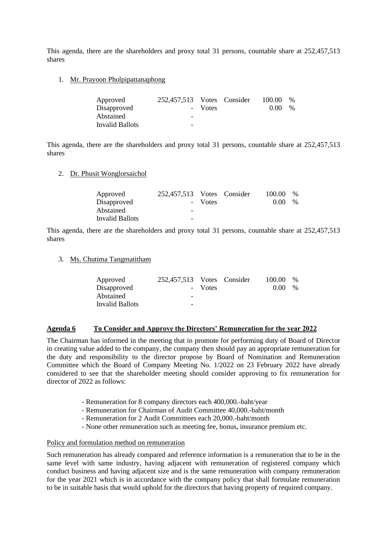This agenda, there are the shareholders and proxy total 31 persons, countable share at 252,457,513 shares

1. Mr. Prayoon Pholpipattanaphong

| Approved        | 252,457,513 Votes Consider |         | 100.00 | $\%$ |
|-----------------|----------------------------|---------|--------|------|
| Disapproved     |                            | - Votes | (1)(1) | $\%$ |
| Abstained       | -                          |         |        |      |
| Invalid Ballots | -                          |         |        |      |

This agenda, there are the shareholders and proxy total 31 persons, countable share at 252,457,513 shares

2. Dr. Phusit Wonglorsaichol

| Approved               | 252,457,513 Votes Consider |         | 100.00 | $\frac{0}{0}$ |
|------------------------|----------------------------|---------|--------|---------------|
| Disapproved            |                            | - Votes | 0.00   | $\frac{0}{0}$ |
| Abstained              | -                          |         |        |               |
| <b>Invalid Ballots</b> | $\overline{\phantom{0}}$   |         |        |               |

This agenda, there are the shareholders and proxy total 31 persons, countable share at 252,457,513 shares

3. Ms. Chutima Tangmatitham

| Approved        | 252,457,513 Votes Consider |         | 100.00 | $\frac{0}{0}$ |
|-----------------|----------------------------|---------|--------|---------------|
| Disapproved     |                            | - Votes | 0.00   | $\frac{0}{0}$ |
| Abstained       | $\overline{\phantom{0}}$   |         |        |               |
| Invalid Ballots | -                          |         |        |               |

### **Agenda 6 To Consider and Approve the Directors' Remuneration for the year 2022**

The Chairman has informed in the meeting that in promote for performing duty of Board of Director in creating value added to the company, the company then should pay an appropriate remuneration for the duty and responsibility to the director propose by Board of Nomination and Remuneration Committee which the Board of Company Meeting No. 1/2022 on 23 February 2022 have already considered to see that the shareholder meeting should consider approving to fix remuneration for director of 2022 as follows:

- Remuneration for 8 company directors each 400,000.-baht/year
- Remuneration for Chairman of Audit Committee 40,000.-baht/month
- Remuneration for 2 Audit Committees each 20,000.-baht/month
- None other remuneration such as meeting fee, bonus, insurance premium etc.

#### Policy and formulation method on remuneration

Such remuneration has already compared and reference information is a remuneration that to be in the same level with same industry, having adjacent with remuneration of registered company which conduct business and having adjacent size and is the same remuneration with company remuneration for the year 2021 which is in accordance with the company policy that shall formulate remuneration to be in suitable basis that would uphold for the directors that having property of required company.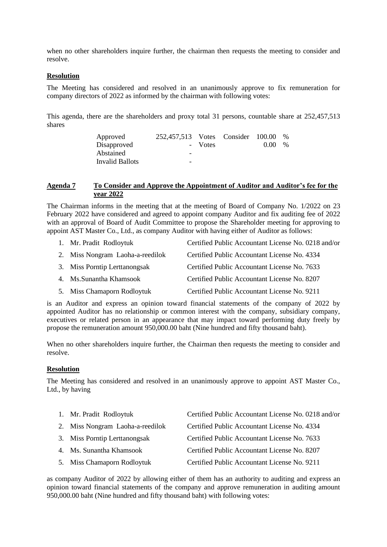when no other shareholders inquire further, the chairman then requests the meeting to consider and resolve.

#### **Resolution**

The Meeting has considered and resolved in an unanimously approve to fix remuneration for company directors of 2022 as informed by the chairman with following votes:

This agenda, there are the shareholders and proxy total 31 persons, countable share at 252,457,513 shares

| Approved               | 252,457,513 Votes Consider 100.00 |         |      | $\%$ |
|------------------------|-----------------------------------|---------|------|------|
| Disapproved            |                                   | - Votes | 0.00 | $\%$ |
| Abstained              | -                                 |         |      |      |
| <b>Invalid Ballots</b> | $\overline{\phantom{0}}$          |         |      |      |

#### **Agenda 7 To Consider and Approve the Appointment of Auditor and Auditor's fee for the year 2022**

The Chairman informs in the meeting that at the meeting of Board of Company No. 1/2022 on 23 February 2022 have considered and agreed to appoint company Auditor and fix auditing fee of 2022 with an approval of Board of Audit Committee to propose the Shareholder meeting for approving to appoint AST Master Co., Ltd., as company Auditor with having either of Auditor as follows:

| 1. Mr. Pradit Rodloytuk          | Certified Public Accountant License No. 0218 and/or |
|----------------------------------|-----------------------------------------------------|
| 2. Miss Nongram Laoha-a-reedilok | Certified Public Accountant License No. 4334        |
| 3. Miss Porntip Lerttanongsak    | Certified Public Accountant License No. 7633        |
| 4. Ms. Sunantha Khamsook         | Certified Public Accountant License No. 8207        |
| 5. Miss Chamaporn Rodloytuk      | Certified Public Accountant License No. 9211        |

is an Auditor and express an opinion toward financial statements of the company of 2022 by appointed Auditor has no relationship or common interest with the company, subsidiary company, executives or related person in an appearance that may impact toward performing duty freely by propose the remuneration amount 950,000.00 baht (Nine hundred and fifty thousand baht).

When no other shareholders inquire further, the Chairman then requests the meeting to consider and resolve.

### **Resolution**

The Meeting has considered and resolved in an unanimously approve to appoint AST Master Co., Ltd., by having

| 1. Mr. Pradit Rodloytuk          | Certified Public Accountant License No. 0218 and/or |
|----------------------------------|-----------------------------------------------------|
| 2. Miss Nongram Laoha-a-reedilok | Certified Public Accountant License No. 4334        |
| 3. Miss Porntip Lerttanongsak    | Certified Public Accountant License No. 7633        |
| 4. Ms. Sunantha Khamsook         | Certified Public Accountant License No. 8207        |
| 5. Miss Chamaporn Rodloytuk      | Certified Public Accountant License No. 9211        |

as company Auditor of 2022 by allowing either of them has an authority to auditing and express an opinion toward financial statements of the company and approve remuneration in auditing amount 950,000.00 baht (Nine hundred and fifty thousand baht) with following votes: